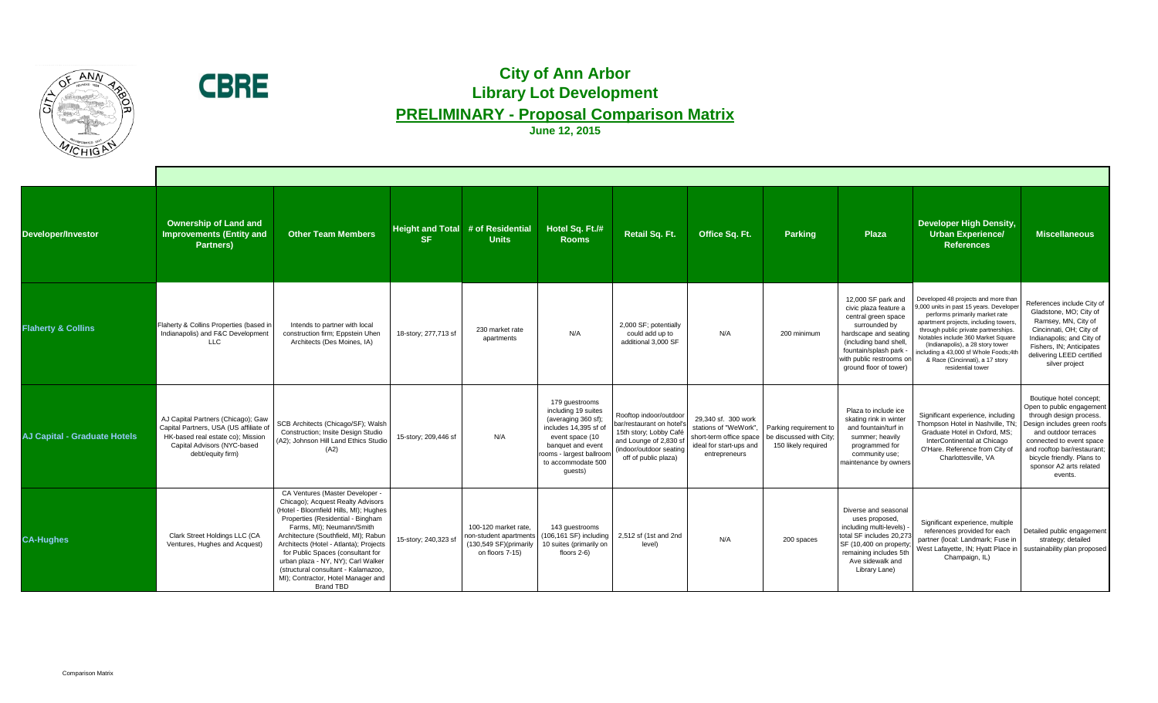| Developer/Investor                  | <b>Ownership of Land and</b><br><b>Improvements (Entity and</b><br><b>Partners)</b>                                                                                   | <b>Other Team Members</b>                                                                                                                                                                                                                                                                                                                                                                                                                      | <b>SF</b>            | Height and Total # of Residential<br><b>Units</b>                                                           | Hotel Sq. Ft./#<br><b>Rooms</b>                                                                                                                                                            | <b>Retail Sq. Ft.</b>                                                                                                                                      | Office Sq. Ft.                                                                           | <b>Parking</b>                                                                                     | <b>Plaza</b>                                                                                                                                                                                                        | <b>Developer High Density,</b><br><b>Urban Experience/</b><br><b>References</b>                                                                                                                                                                                                                                                                                            | <b>Miscellaneous</b>                                                                                                                                                                                                                                         |
|-------------------------------------|-----------------------------------------------------------------------------------------------------------------------------------------------------------------------|------------------------------------------------------------------------------------------------------------------------------------------------------------------------------------------------------------------------------------------------------------------------------------------------------------------------------------------------------------------------------------------------------------------------------------------------|----------------------|-------------------------------------------------------------------------------------------------------------|--------------------------------------------------------------------------------------------------------------------------------------------------------------------------------------------|------------------------------------------------------------------------------------------------------------------------------------------------------------|------------------------------------------------------------------------------------------|----------------------------------------------------------------------------------------------------|---------------------------------------------------------------------------------------------------------------------------------------------------------------------------------------------------------------------|----------------------------------------------------------------------------------------------------------------------------------------------------------------------------------------------------------------------------------------------------------------------------------------------------------------------------------------------------------------------------|--------------------------------------------------------------------------------------------------------------------------------------------------------------------------------------------------------------------------------------------------------------|
| <b>Flaherty &amp; Collins</b>       | Flaherty & Collins Properties (based in<br>Indianapolis) and F&C Development<br><b>LLC</b>                                                                            | Intends to partner with local<br>construction firm; Eppstein Uhen<br>Architects (Des Moines, IA)                                                                                                                                                                                                                                                                                                                                               | 18-story; 277,713 sf | 230 market rate<br>apartments                                                                               | N/A                                                                                                                                                                                        | 2,000 SF; potentially<br>could add up to<br>additional 3,000 SF                                                                                            | N/A                                                                                      | 200 minimum                                                                                        | 12,000 SF park and<br>civic plaza feature a<br>central green space<br>surrounded by<br>hardscape and seatin<br>(including band shell,<br>fountain/splash park<br>with public restrooms on<br>ground floor of tower) | Developed 48 projects and more than<br>,000 units in past 15 years. Developer<br>performs primarily market rate<br>apartment projects, including towers<br>through public private partnerships.<br>Notables include 360 Market Square<br>(Indianapolis), a 28 story tower<br>including a 43,000 sf Whole Foods;4th<br>& Race (Cincinnati), a 17 story<br>residential tower | References include City<br>Gladstone, MO; City of<br>Ramsey, MN, City of<br>Cincinnati, OH; City of<br>Indianapolis; and City o<br>Fishers, IN; Anticipates<br>delivering LEED certified<br>silver project                                                   |
| <b>AJ Capital - Graduate Hotels</b> | AJ Capital Partners (Chicago); Gaw<br>Capital Partners, USA (US affiliate of<br>HK-based real estate co); Mission<br>Capital Advisors (NYC-based<br>debt/equity firm) | SCB Architects (Chicago/SF); Walsh<br>Construction; Insite Design Studio<br>(A2); Johnson Hill Land Ethics Studio<br>(A2)                                                                                                                                                                                                                                                                                                                      | 15-story; 209,446 sf | N/A                                                                                                         | 179 guestrooms<br>including 19 suites<br>(averaging 360 sf);<br>includes 14,395 sf of<br>event space (10<br>banquet and event<br>rooms - largest ballroom<br>to accommodate 500<br>guests) | Rooftop indoor/outdoor<br>bar/restaurant on hotel's<br>15th story; Lobby Café<br>and Lounge of 2,830 sf<br>(indoor/outdoor seating<br>off of public plaza) | 29,340 sf. 300 work<br>stations of "WeWork".<br>ideal for start-ups and<br>entrepreneurs | Parking requirement to<br>short-term office space   be discussed with City;<br>150 likely required | Plaza to include ice<br>skating rink in winter<br>and fountain/turf in<br>summer; heavily<br>programmed for<br>community use;<br>maintenance by owners                                                              | Significant experience, including<br>Thompson Hotel in Nashville, TN;<br>Graduate Hotel in Oxford, MS;<br>InterContinental at Chicago<br>O'Hare. Reference from City of<br>Charlottesville, VA                                                                                                                                                                             | Boutique hotel concept<br>Open to public engageme<br>through design process<br>Design includes green roo<br>and outdoor terraces<br>connected to event spac<br>and rooftop bar/restaurar<br>bicycle friendly. Plans to<br>sponsor A2 arts related<br>events. |
| <b>CA-Hughes</b>                    | <b>Clark Street Holdings LLC (CA</b><br>Ventures, Hughes and Acquest)                                                                                                 | CA Ventures (Master Developer -<br>Chicago); Acquest Realty Advisors<br>(Hotel - Bloomfield Hills, MI); Hughes<br>Properties (Residential - Bingham<br>Farms, MI); Neumann/Smith<br>Architecture (Southfield, MI); Rabun<br>Architects (Hotel - Atlanta); Projects<br>for Public Spaces (consultant for<br>urban plaza - NY, NY); Carl Walker<br>(structural consultant - Kalamazoo,<br>MI); Contractor, Hotel Manager and<br><b>Brand TBD</b> | 15-story; 240,323 sf | 100-120 market rate,<br>non-student apartments<br>$(130,549 \text{ SF})(\text{primary})$<br>on floors 7-15) | 143 guestrooms<br>$(106, 161 SF)$ including<br>10 suites (primarily on<br>floors $2-6$ )                                                                                                   | 2,512 sf (1st and 2nd<br>level)                                                                                                                            | N/A                                                                                      | 200 spaces                                                                                         | Diverse and seasonal<br>uses proposed,<br>including multi-levels) -<br>total SF includes 20,273<br>SF (10,400 on property<br>remaining includes 5th<br>Ave sidewalk and<br>Library Lane)                            | Significant experience, multiple<br>references provided for each<br>partner (local: Landmark; Fuse in<br>West Lafayette, IN; Hyatt Place in<br>Champaign, IL)                                                                                                                                                                                                              | Detailed public engageme<br>strategy; detailed<br>sustainability plan propos                                                                                                                                                                                 |







## **City of Ann Arbor Library Lot Development PRELIMINARY - Proposal Comparison Matrix**

**June 12, 2015**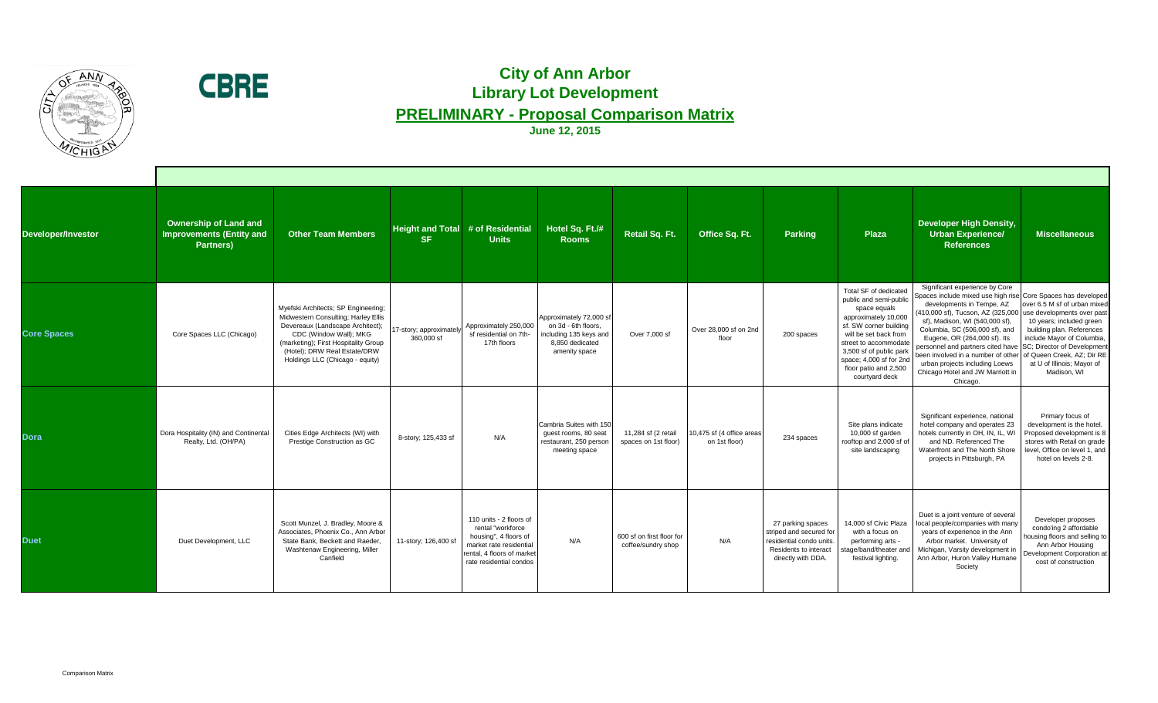



## **City of Ann Arbor Library Lot Development PRELIMINARY - Proposal Comparison Matrix**

**June 12, 2015**

| Developer/Investor | <b>Ownership of Land and</b><br><b>Improvements (Entity and</b><br><b>Partners)</b> | <b>Other Team Members</b>                                                                                                                                                                                                                           | <b>SF</b>                             | Height and Total # of Residential<br><b>Units</b>                                                                                                         | Hotel Sq. Ft./#<br><b>Rooms</b>                                                                              | <b>Retail Sq. Ft.</b>                           | Office Sq. Ft.                             | <b>Parking</b>                                                                                                                 | <b>Plaza</b>                                                                                                                                                                                                                                                                | <b>Developer High Density,</b><br><b>Urban Experience/</b><br><b>References</b>                                                                                                                                                                                                                                                                                                                                                                                                                               | <b>Miscellaneous</b>                                                                                                                                                                            |
|--------------------|-------------------------------------------------------------------------------------|-----------------------------------------------------------------------------------------------------------------------------------------------------------------------------------------------------------------------------------------------------|---------------------------------------|-----------------------------------------------------------------------------------------------------------------------------------------------------------|--------------------------------------------------------------------------------------------------------------|-------------------------------------------------|--------------------------------------------|--------------------------------------------------------------------------------------------------------------------------------|-----------------------------------------------------------------------------------------------------------------------------------------------------------------------------------------------------------------------------------------------------------------------------|---------------------------------------------------------------------------------------------------------------------------------------------------------------------------------------------------------------------------------------------------------------------------------------------------------------------------------------------------------------------------------------------------------------------------------------------------------------------------------------------------------------|-------------------------------------------------------------------------------------------------------------------------------------------------------------------------------------------------|
| <b>Core Spaces</b> | Core Spaces LLC (Chicago)                                                           | Myefski Architects; SP Engineering;<br>Midwestern Consulting; Harley Ellis<br>Devereaux (Landscape Architect);<br>CDC (Window Wall); MKG<br>(marketing); First Hospitality Group<br>(Hotel); DRW Real Estate/DRW<br>Holdings LLC (Chicago - equity) | 17-story; approximately<br>360,000 sf | Approximately 250,000<br>sf residential on 7th-<br>17th floors                                                                                            | Approximately 72,000 sf<br>on 3d - 6th floors,<br>including 135 keys and<br>8,850 dedicated<br>amenity space | Over 7,000 sf                                   | Over 28,000 sf on 2nd<br>floor             | 200 spaces                                                                                                                     | <b>Total SF of dedicated</b><br>public and semi-public<br>space equals<br>approximately 10,000<br>sf. SW corner building<br>will be set back from<br>street to accommodate<br>3,500 sf of public park<br>space; 4,000 sf for 2nd<br>floor patio and 2,500<br>courtyard deck | Significant experience by Core<br>Spaces include mixed use high rise Core Spaces has developed<br>developments in Tempe, AZ<br>$(410,000 \text{ sf})$ , Tucson, AZ $(325,000 \text{ Juse}$ developments over past<br>sf), Madison, WI (540,000 sf),<br>Columbia, SC (506,000 sf), and<br>Eugene, OR (264,000 sf). Its<br>personnel and partners cited have<br>been involved in a number of other of Queen Creek, AZ; Dir RE<br>urban projects including Loews<br>Chicago Hotel and JW Marriott in<br>Chicago. | over 6.5 M sf of urban mixed<br>10 years; included green<br>building plan. References<br>include Mayor of Columbia,<br>SC; Director of Development<br>at U of Illinois; Mayor of<br>Madison, WI |
| <b>Dora</b>        | Dora Hospitality (IN) and Continental<br>Realty, Ltd. (OH/PA)                       | Cities Edge Architects (WI) with<br>Prestige Construction as GC                                                                                                                                                                                     | 8-story; 125,433 sf                   | N/A                                                                                                                                                       | Cambria Suites with 150<br>guest rooms, 80 seat<br>restaurant, 250 person<br>meeting space                   | 11,284 sf (2 retail<br>spaces on 1st floor)     | 10,475 sf (4 office areas<br>on 1st floor) | 234 spaces                                                                                                                     | Site plans indicate<br>10,000 sf garden<br>rooftop and 2,000 sf of<br>site landscaping                                                                                                                                                                                      | Significant experience, national<br>hotel company and operates 23<br>hotels currently in OH, IN, IL, WI<br>and ND. Referenced The<br>Waterfront and The North Shore<br>projects in Pittsburgh, PA                                                                                                                                                                                                                                                                                                             | Primary focus of<br>development is the hotel.<br>Proposed development is 8<br>stores with Retail on grade<br>level, Office on level 1, and<br>hotel on levels 2-8.                              |
| <b>Duet</b>        | Duet Development, LLC                                                               | Scott Munzel, J. Bradley, Moore &<br>Associates, Phoenix Co., Ann Arbor<br>State Bank, Beckett and Raeder.<br>Washtenaw Engineering, Miller<br>Canfield                                                                                             | 11-story; 126,400 sf                  | 110 units - 2 floors of<br>rental "workforce<br>housing", 4 floors of<br>market rate residential<br>rental, 4 floors of market<br>rate residential condos | N/A                                                                                                          | 600 sf on first floor for<br>coffee/sundry shop | N/A                                        | 27 parking spaces<br>striped and secured for<br>residential condo units.<br><b>Residents to interact</b><br>directly with DDA. | 14,000 sf Civic Plaza<br>with a focus on<br>performing arts -<br>stage/band/theater an<br>festival lighting.                                                                                                                                                                | Duet is a joint venture of several<br>local people/companies with many<br>years of experience in the Ann<br>Arbor market. University of<br>Michigan, Varsity development in<br>Ann Arbor, Huron Valley Humane<br>Society                                                                                                                                                                                                                                                                                      | Developer proposes<br>condo'ing 2 affordable<br>housing floors and selling to<br>Ann Arbor Housing<br>Development Corporation at<br>cost of construction                                        |